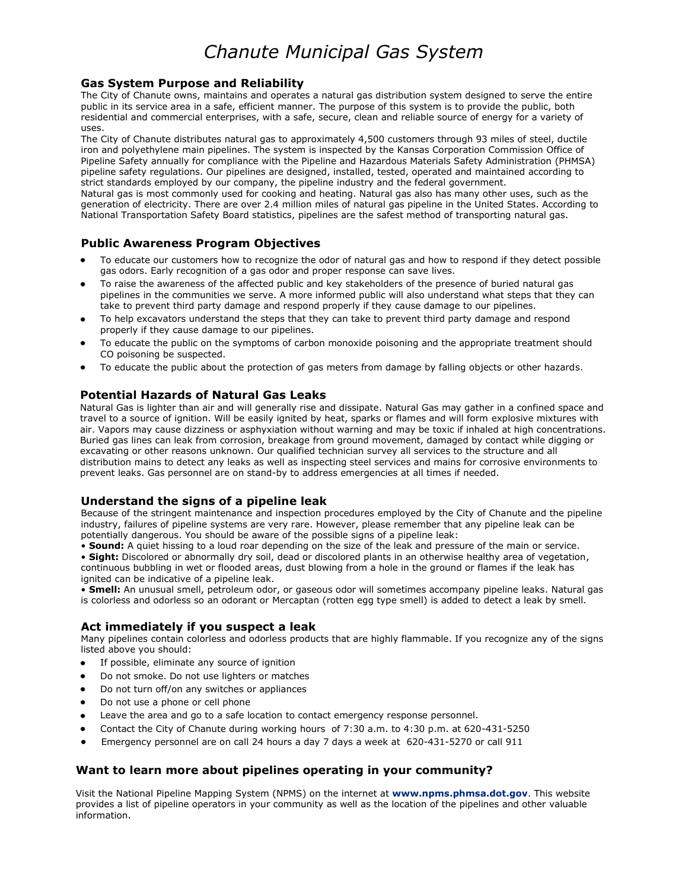# *Chanute Municipal Gas System*

#### **Gas System Purpose and Reliability**

The City of Chanute owns, maintains and operates a natural gas distribution system designed to serve the entire public in its service area in a safe, efficient manner. The purpose of this system is to provide the public, both residential and commercial enterprises, with a safe, secure, clean and reliable source of energy for a variety of uses.

The City of Chanute distributes natural gas to approximately 4,500 customers through 93 miles of steel, ductile iron and polyethylene main pipelines. The system is inspected by the Kansas Corporation Commission Office of Pipeline Safety annually for compliance with the Pipeline and Hazardous Materials Safety Administration (PHMSA) pipeline safety regulations. Our pipelines are designed, installed, tested, operated and maintained according to strict standards employed by our company, the pipeline industry and the federal government.

Natural gas is most commonly used for cooking and heating. Natural gas also has many other uses, such as the generation of electricity. There are over 2.4 million miles of natural gas pipeline in the United States. According to National Transportation Safety Board statistics, pipelines are the safest method of transporting natural gas.

## **Public Awareness Program Objectives**

- To educate our customers how to recognize the odor of natural gas and how to respond if they detect possible gas odors. Early recognition of a gas odor and proper response can save lives.
- To raise the awareness of the affected public and key stakeholders of the presence of buried natural gas pipelines in the communities we serve. A more informed public will also understand what steps that they can take to prevent third party damage and respond properly if they cause damage to our pipelines.
- To help excavators understand the steps that they can take to prevent third party damage and respond properly if they cause damage to our pipelines.
- To educate the public on the symptoms of carbon monoxide poisoning and the appropriate treatment should CO poisoning be suspected.
- To educate the public about the protection of gas meters from damage by falling objects or other hazards.

### **Potential Hazards of Natural Gas Leaks**

Natural Gas is lighter than air and will generally rise and dissipate. Natural Gas may gather in a confined space and travel to a source of ignition. Will be easily ignited by heat, sparks or flames and will form explosive mixtures with air. Vapors may cause dizziness or asphyxiation without warning and may be toxic if inhaled at high concentrations. Buried gas lines can leak from corrosion, breakage from ground movement, damaged by contact while digging or excavating or other reasons unknown. Our qualified technician survey all services to the structure and all distribution mains to detect any leaks as well as inspecting steel services and mains for corrosive environments to prevent leaks. Gas personnel are on stand-by to address emergencies at all times if needed.

#### **Understand the signs of a pipeline leak**

Because of the stringent maintenance and inspection procedures employed by the City of Chanute and the pipeline industry, failures of pipeline systems are very rare. However, please remember that any pipeline leak can be potentially dangerous. You should be aware of the possible signs of a pipeline leak:

• **Sound:** A quiet hissing to a loud roar depending on the size of the leak and pressure of the main or service. • **Sight:** Discolored or abnormally dry soil, dead or discolored plants in an otherwise healthy area of vegetation, continuous bubbling in wet or flooded areas, dust blowing from a hole in the ground or flames if the leak has ignited can be indicative of a pipeline leak.

• **Smell:** An unusual smell, petroleum odor, or gaseous odor will sometimes accompany pipeline leaks. Natural gas is colorless and odorless so an odorant or Mercaptan (rotten egg type smell) is added to detect a leak by smell.

## **Act immediately if you suspect a leak**

Many pipelines contain colorless and odorless products that are highly flammable. If you recognize any of the signs listed above you should:

- If possible, eliminate any source of ignition  $\bullet$
- Do not smoke. Do not use lighters or matches
- Do not turn off/on any switches or appliances
- Do not use a phone or cell phone
- Leave the area and go to a safe location to contact emergency response personnel.
- Contact the City of Chanute during working hours of 7:30 a.m. to 4:30 p.m. at 620-431-5250
- Emergency personnel are on call 24 hours a day 7 days a week at 620-431-5270 or call 911

## **Want to learn more about pipelines operating in your community?**

Visit the National Pipeline Mapping System (NPMS) on the internet at **[www.npms.phmsa.dot.gov](http://www.npms.phmsa.dot.gov/)**. This website provides a list of pipeline operators in your community as well as the location of the pipelines and other valuable information.